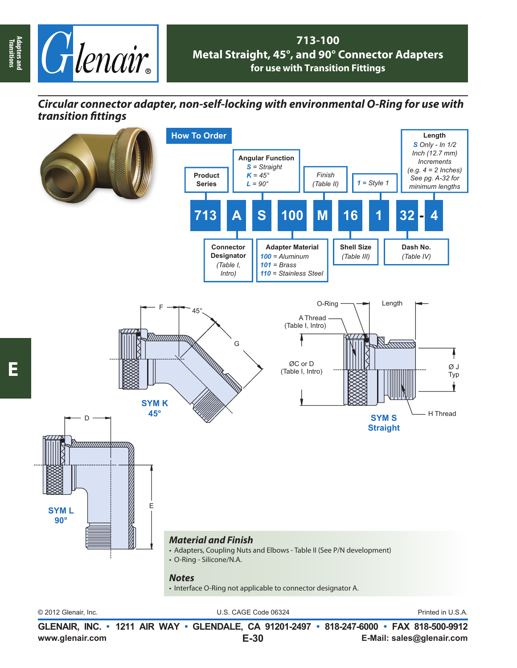

## **713-100 Metal Straight, 45°, and 90° Connector Adapters for use with Transition Fittings**

## *Circular connector adapter, non-self-locking with environmental O-Ring for use with transition fi ttings*



© 2012 Glenair, Inc. U.S. CAGE Code 06324 Printed in U.S.A.

**www.glenair.com E-Mail: sales@glenair.com GLENAIR, INC. • 1211 AIR WAY • GLENDALE, CA 91201-2497 • 818-247-6000 • FAX 818-500-9912 E-30**